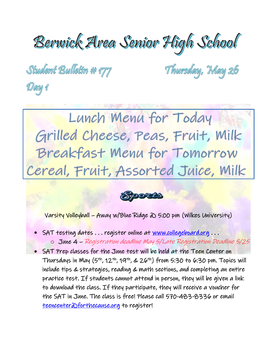## Berwick Area Senior High School

Student Bulletin # 177

Day 1

Thursday, May 26

Lunch Menu for Today Grilled Cheese, Peas, Fruit, Milk Breakfast Menu for Tomorrow Cereal, Fruit, Assorted Juice, Milk

**Syporato** 

Varsity Volleyball – Away w/Blue Ridge @ 5:00 pm (Wilkes University)

- SAT testing dates ... register online at [www.collegeboard.org](http://www.collegeboard.org/) ...
	- o June 4 Registration deadline May 5/Late Registration Deadline 5/25

• SAT Prep classes for the June test will be held at the Teen Center on Thursdays in May  $(5^{th}, 12^{th}, 19^{th}, \& 26^{th})$  from 5:30 to 6:30 pm. Topics will include tips & strategies, reading & math sections, and completing an entire practice test. If students cannot attend in person, they will be given a link to download the class. If they participate, they will receive a voucher for the SAT in June. The class is free! Please call 570-483-8336 or email teencenter aforthecause.org to register!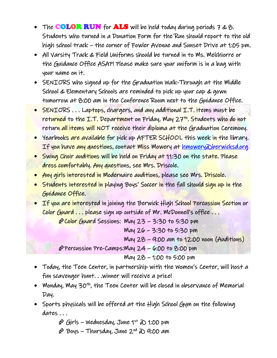- The **COLOR RUN** for **ALS** will be held today during periods  $7 \& 8$ . Students who turned in a Donation Form for the Run should report to the old high school track – the corner of Fowler Avenue and Sunset Drive at 1:05 pm.
- All Varsity Track & Field Uniforms should be turned in to Ms. Melchiorre or the Guidance Office ASAP! Please make sure your uniform is in a bag with your name on it.
- SENIORS who signed up for the Graduation Walk-Through at the Middle School & Elementary Schools are reminded to pick up your cap & gown tomorrow at 8:00 am in the Conference Room next to the Guidance Office.
- SENIORS . . . Laptops, chargers, and any additional I.T. items must be returned to the I.T. Department on Friday, May 27<sup>th</sup>. Students who do not return all items will NOT receive their diploma at the Graduation Ceremony.
- Yearbooks are available for pick up AFTER SCHOOL this week in the library. If you have any questions, contact Miss Mowery at hmowery *Dberwicksd.org*
- Swing Choir auditions will be held on Friday at 11:30 on the state. Please dress comfortably. Any questions, see Mrs. Driscole.
- Any girls interested in Modernaire auditions, please see Mrs. Driscole.
- Students interested in playing Boys' Soccer in the fall should sign up in the Guidance Office.
- If you are interested in joining the Berwick High School Percussion Section or Color Guard . . . please sign up outside of Mr. McDonnell's office . . .

P Color Guard Sessions: May 23 - 3:30 to 5:30 pm

May 26 – 3:30 to 5:30 pm

May 28 – 9:00 am to 12:00 noon (Auditions)

 $p$  Percussion Pre-Camps: May 24 – 6:00 to 8:00 pm

May 28 – 1:00 to 5:00 pm

- Today, the Teen Center, in partnership with the Women's Center, will host a fun scavenger hunt. . .winner will receive a prize!
- Monday, May 30<sup>th</sup>, the Teen Center will be closed in observance of Memorial Day.
- Sports physicals will be offered at the High School Gym on the following dates ...

 $\hat{\varphi}$  Girls – Wednesday, June 1st  $\hat{\varphi}$  1:00 pm

 $\hat{\varphi}$  Boys – Thursday, June 2nd  $\infty$  9:00 am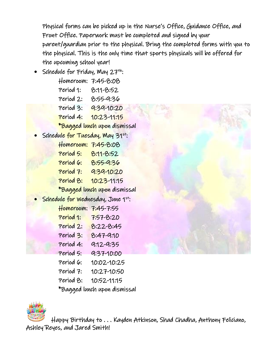Physical forms can be picked up in the Nurse's Office, Guidance Office, and Front Office. Paperwork must be completed and signed by your parent/guardian prior to the physical. Bring the completed forms with you to the physical. This is the only time that sports physicals will be offered for the upcoming school year!

Schedule for Friday, May  $27^{th}$ : Homeroom: 7:45-8:08 Period 1: 8:11-8:52 Period 2: 8:55-9:36 Period 3: **9:39-10:20**  Period 4: 10:23-11:15 \*Bagged lunch upon dismissal Schedule for Tuesday, May 31st: Homeroom: 7:45-8:08 Period 5: 8:11-8:52 Period 6: 8:55-9:36 Period 7: 9:39-10:20 Period 8: 10:23-11:15 \*Bagged lunch upon dismissal Schedule for Wednesday, June 1st: Homeroom: 7:45-7:55 Period 1: 7:57-8:20 Period 2: 8:22-8:45 Period 3: 8:47-9:10 Period 4: 9:12-9:35 Period 5: 9:37-10:00 Period 6: 10:02-10:25 Period 7: 10:27-10:50 Period 8: 10:52-11:15

\*Bagged lunch upon dismissal



 Happy Birthday to . . . Kayden Atkinson, Shad Chadha, Anthony Feliciano, Ashley Reyes, and Jared Smith!